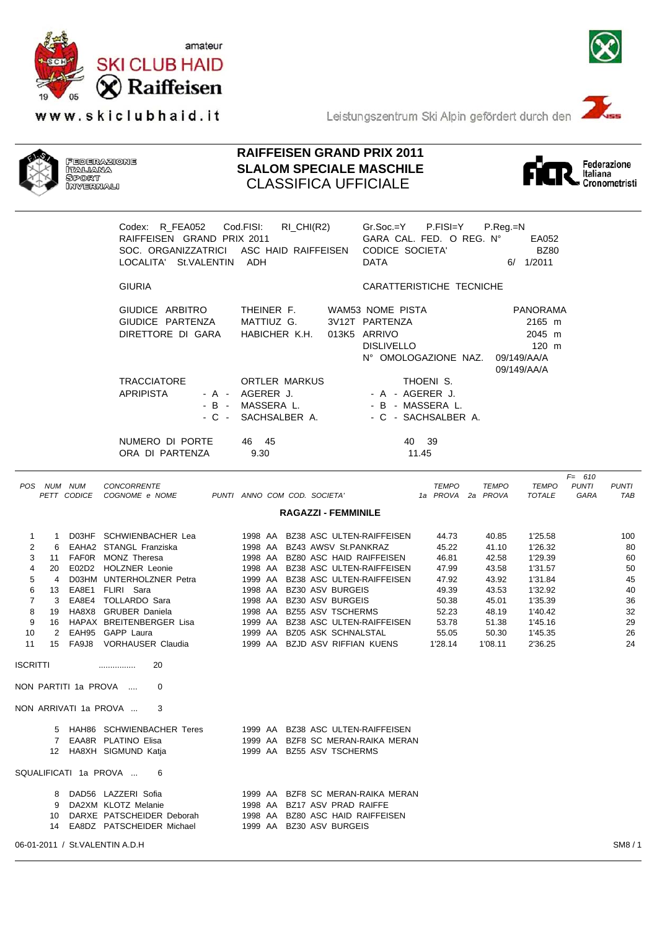

www.skiclubhaid.it



Leistungszentrum Ski Alpin gefördert durch den





## **RAIFFEISEN GRAND PRIX 2011 SLALOM SPECIALE MASCHILE** CLASSIFICA UFFICIALE



|                                                                                |                                         | Codex: R_FEA052 Cod.FISI:<br>RAIFFEISEN GRAND PRIX 2011<br>SOC. ORGANIZZATRICI ASC HAID RAIFFEISEN<br>LOCALITA' St.VALENTIN ADH                                                                                                                  | RI_CHI(R2)                                                                                                                                                                                                                                                                                                                                                                 | $Gr.Soc = Y$ $P.FISI = Y$<br>GARA CAL. FED. O REG. Nº<br>CODICE SOCIETA'<br><b>DATA</b>           | P.Reg.=N                                                                                          | EA052<br><b>BZ80</b><br>6/ 1/2011                                                                                     |                                                                 |
|--------------------------------------------------------------------------------|-----------------------------------------|--------------------------------------------------------------------------------------------------------------------------------------------------------------------------------------------------------------------------------------------------|----------------------------------------------------------------------------------------------------------------------------------------------------------------------------------------------------------------------------------------------------------------------------------------------------------------------------------------------------------------------------|---------------------------------------------------------------------------------------------------|---------------------------------------------------------------------------------------------------|-----------------------------------------------------------------------------------------------------------------------|-----------------------------------------------------------------|
|                                                                                |                                         | <b>GIURIA</b>                                                                                                                                                                                                                                    |                                                                                                                                                                                                                                                                                                                                                                            | CARATTERISTICHE TECNICHE                                                                          |                                                                                                   |                                                                                                                       |                                                                 |
|                                                                                |                                         | GIUDICE ARBITRO<br>GIUDICE PARTENZA<br>DIRETTORE DI GARA                                                                                                                                                                                         | THEINER F.<br>MATTIUZ G.<br>HABICHER K.H.                                                                                                                                                                                                                                                                                                                                  | WAM53 NOME PISTA<br>3V12T PARTENZA<br>013K5 ARRIVO<br><b>DISLIVELLO</b><br>N° OMOLOGAZIONE NAZ.   | 09/149/AA/A<br>09/149/AA/A                                                                        | <b>PANORAMA</b><br>2165 m<br>2045 m<br>120 m                                                                          |                                                                 |
|                                                                                |                                         | <b>TRACCIATORE</b><br><b>APRIPISTA</b><br>- A -<br>$-B -$<br>- C -                                                                                                                                                                               | ORTLER MARKUS<br>AGERER J.<br>MASSERA L.<br>SACHSALBER A.                                                                                                                                                                                                                                                                                                                  | THOENI S.<br>- A - AGERER J.<br>- B - MASSERA L.<br>- C - SACHSALBER A.                           |                                                                                                   |                                                                                                                       |                                                                 |
|                                                                                |                                         | NUMERO DI PORTE<br>ORA DI PARTENZA                                                                                                                                                                                                               | 46 45<br>9.30                                                                                                                                                                                                                                                                                                                                                              | 40 39<br>11.45                                                                                    |                                                                                                   |                                                                                                                       |                                                                 |
| POS NUM NUM                                                                    |                                         | <b>CONCORRENTE</b><br>PETT CODICE COGNOME e NOME                                                                                                                                                                                                 | PUNTI ANNO COM COD. SOCIETA'                                                                                                                                                                                                                                                                                                                                               | <b>TEMPO</b><br>1a PROVA 2a PROVA                                                                 | <b>TEMPO</b>                                                                                      | $F = 610$<br><b>PUNTI</b><br><b>TEMPO</b><br><b>TOTALE</b><br>GARA                                                    | <b>PUNTI</b><br>TAB                                             |
|                                                                                |                                         |                                                                                                                                                                                                                                                  | <b>RAGAZZI - FEMMINILE</b>                                                                                                                                                                                                                                                                                                                                                 |                                                                                                   |                                                                                                   |                                                                                                                       |                                                                 |
| 1<br>1<br>2<br>6<br>3<br>4<br>5<br>4<br>6<br>7<br>3<br>8<br>9<br>10<br>2<br>11 | 13 EA8E1 FLIRI Sara<br>EAH95 GAPP Laura | D03HF SCHWIENBACHER Lea<br>EAHA2 STANGL Franziska<br>11 FAFOR MONZ Theresa<br>20 E02D2 HOLZNER Leonie<br>D03HM UNTERHOLZNER Petra<br>EA8E4 TOLLARDO Sara<br>19 HA8X8 GRUBER Daniela<br>16 HAPAX BREITENBERGER Lisa<br>15 FA9J8 VORHAUSER Claudia | 1998 AA BZ38 ASC ULTEN-RAIFFEISEN<br>1998 AA BZ43 AWSV St.PANKRAZ<br>1998 AA BZ80 ASC HAID RAIFFEISEN<br>1998 AA BZ38 ASC ULTEN-RAIFFEISEN<br>1999 AA BZ38 ASC ULTEN-RAIFFEISEN<br>1998 AA BZ30 ASV BURGEIS<br>1998 AA BZ30 ASV BURGEIS<br>1998 AA BZ55 ASV TSCHERMS<br>1999 AA BZ38 ASC ULTEN-RAIFFEISEN<br>1999 AA BZ05 ASK SCHNALSTAL<br>1999 AA BZJD ASV RIFFIAN KUENS | 44.73<br>45.22<br>46.81<br>47.99<br>47.92<br>49.39<br>50.38<br>52.23<br>53.78<br>55.05<br>1'28.14 | 40.85<br>41.10<br>42.58<br>43.58<br>43.92<br>43.53<br>45.01<br>48.19<br>51.38<br>50.30<br>1'08.11 | 1'25.58<br>1'26.32<br>1'29.39<br>1'31.57<br>1'31.84<br>1'32.92<br>1'35.39<br>1'40.42<br>1'45.16<br>1'45.35<br>2'36.25 | 100<br>80<br>60<br>50<br>45<br>40<br>36<br>32<br>29<br>26<br>24 |
| ISCRITTI                                                                       |                                         | 20<br>                                                                                                                                                                                                                                           |                                                                                                                                                                                                                                                                                                                                                                            |                                                                                                   |                                                                                                   |                                                                                                                       |                                                                 |
| NON PARTITI 1a PROVA                                                           |                                         | $\Omega$                                                                                                                                                                                                                                         |                                                                                                                                                                                                                                                                                                                                                                            |                                                                                                   |                                                                                                   |                                                                                                                       |                                                                 |
|                                                                                |                                         | NON ARRIVATI 1a PROVA  3                                                                                                                                                                                                                         |                                                                                                                                                                                                                                                                                                                                                                            |                                                                                                   |                                                                                                   |                                                                                                                       |                                                                 |
|                                                                                |                                         | 5 HAH86 SCHWIENBACHER Teres 1999 AA BZ38 ASC ULTEN-RAIFFEISEN<br>7 EAA8R PLATINO Elisa<br>12 HA8XH SIGMUND Katja                                                                                                                                 | 1999 AA BZF8 SC MERAN-RAIKA MERAN<br>1999 AA BZ55 ASV TSCHERMS                                                                                                                                                                                                                                                                                                             |                                                                                                   |                                                                                                   |                                                                                                                       |                                                                 |
|                                                                                |                                         | SQUALIFICATI 1a PROVA  6                                                                                                                                                                                                                         |                                                                                                                                                                                                                                                                                                                                                                            |                                                                                                   |                                                                                                   |                                                                                                                       |                                                                 |
|                                                                                |                                         | 8 DAD56 LAZZERI Sofia 6 1999 AA BZF8 SC MERAN-RAIKA MERAN<br>9 DA2XM KLOTZ Melanie<br>10 DARXE PATSCHEIDER Deborah<br>14 EA8DZ PATSCHEIDER Michael 1999 AA BZ30 ASV BURGEIS                                                                      | 1998 AA BZ17 ASV PRAD RAIFFE<br>1998 AA BZ80 ASC HAID RAIFFEISEN                                                                                                                                                                                                                                                                                                           |                                                                                                   |                                                                                                   |                                                                                                                       |                                                                 |
| 06-01-2011 / St.VALENTIN A.D.H                                                 |                                         |                                                                                                                                                                                                                                                  |                                                                                                                                                                                                                                                                                                                                                                            |                                                                                                   |                                                                                                   |                                                                                                                       | SM8/1                                                           |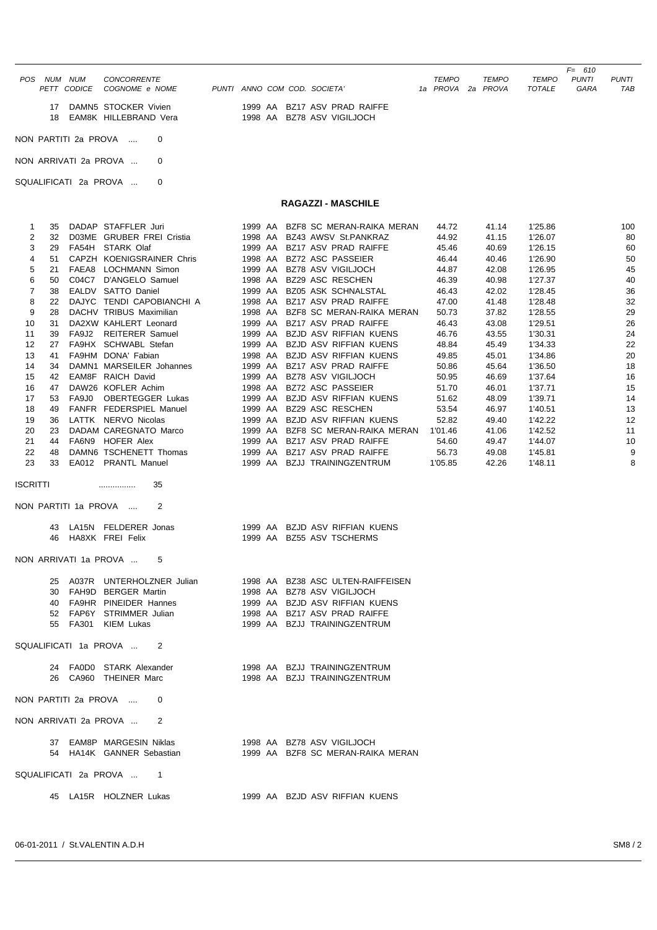|                           |                          |                              |                              | $F = 610$                                    |
|---------------------------|--------------------------|------------------------------|------------------------------|----------------------------------------------|
| NUM<br>POS.<br><b>NUM</b> | CONCORRENTE              |                              | <b>TEMPO</b><br><b>TEMPO</b> | <b>PUNTI</b><br><b>TEMPO</b><br><b>PUNTI</b> |
| PETT CODICE               | COGNOME e NOME           | PUNTI ANNO COM COD. SOCIETA' | 1a PROVA 2a PROVA            | TOTALE<br>TAB<br>GARA                        |
| 17                        | DAMN5 STOCKER Vivien     | 1999 AA BZ17 ASV PRAD RAIFFE |                              |                                              |
|                           | 18 EAM8K HILLEBRAND Vera | 1998 AA BZ78 ASV VIGILJOCH   |                              |                                              |
| NON PARTITI 2a PROVA  0   |                          |                              |                              |                                              |

NON ARRIVATI 2a PROVA ... 0

## SQUALIFICATI 2a PROVA ... 0

## **RAGAZZI - MASCHILE**

| 32<br>29<br>21 | D03ME GRUBER FREI Cristia<br>FA54H STARK Olaf<br>51 CAPZH KOENIGSRAINER Chris                |                                                                                                                                                                                                                                                                                                                                                                                                                                                                                                                                                                                                                                                                                                                                                                                                                              | 1998 AA BZ43 AWSV St.PANKRAZ<br>1999 AA BZ17 ASV PRAD RAIFFE | 44.92<br>45.46                                                                                                                                                                                                                                                                                                                                                                                                                                                                                                                                                                                                                                                                                                                                                                                                                                                  | 41.15<br>40.69                                                                                                                                          | 1'26.07<br>1'26.15                                                                                                | 80<br>60                                                                                                                                               |
|----------------|----------------------------------------------------------------------------------------------|------------------------------------------------------------------------------------------------------------------------------------------------------------------------------------------------------------------------------------------------------------------------------------------------------------------------------------------------------------------------------------------------------------------------------------------------------------------------------------------------------------------------------------------------------------------------------------------------------------------------------------------------------------------------------------------------------------------------------------------------------------------------------------------------------------------------------|--------------------------------------------------------------|-----------------------------------------------------------------------------------------------------------------------------------------------------------------------------------------------------------------------------------------------------------------------------------------------------------------------------------------------------------------------------------------------------------------------------------------------------------------------------------------------------------------------------------------------------------------------------------------------------------------------------------------------------------------------------------------------------------------------------------------------------------------------------------------------------------------------------------------------------------------|---------------------------------------------------------------------------------------------------------------------------------------------------------|-------------------------------------------------------------------------------------------------------------------|--------------------------------------------------------------------------------------------------------------------------------------------------------|
|                |                                                                                              |                                                                                                                                                                                                                                                                                                                                                                                                                                                                                                                                                                                                                                                                                                                                                                                                                              |                                                              |                                                                                                                                                                                                                                                                                                                                                                                                                                                                                                                                                                                                                                                                                                                                                                                                                                                                 |                                                                                                                                                         |                                                                                                                   |                                                                                                                                                        |
|                |                                                                                              |                                                                                                                                                                                                                                                                                                                                                                                                                                                                                                                                                                                                                                                                                                                                                                                                                              |                                                              |                                                                                                                                                                                                                                                                                                                                                                                                                                                                                                                                                                                                                                                                                                                                                                                                                                                                 |                                                                                                                                                         |                                                                                                                   |                                                                                                                                                        |
|                |                                                                                              |                                                                                                                                                                                                                                                                                                                                                                                                                                                                                                                                                                                                                                                                                                                                                                                                                              | 1998 AA BZ72 ASC PASSEIER                                    | 46.44                                                                                                                                                                                                                                                                                                                                                                                                                                                                                                                                                                                                                                                                                                                                                                                                                                                           | 40.46                                                                                                                                                   | 1'26.90                                                                                                           | 50                                                                                                                                                     |
|                | FAEA8 LOCHMANN Simon                                                                         |                                                                                                                                                                                                                                                                                                                                                                                                                                                                                                                                                                                                                                                                                                                                                                                                                              | 1999 AA BZ78 ASV VIGILJOCH                                   | 44.87                                                                                                                                                                                                                                                                                                                                                                                                                                                                                                                                                                                                                                                                                                                                                                                                                                                           | 42.08                                                                                                                                                   | 1'26.95                                                                                                           | 45                                                                                                                                                     |
| 50             | C04C7 D'ANGELO Samuel                                                                        |                                                                                                                                                                                                                                                                                                                                                                                                                                                                                                                                                                                                                                                                                                                                                                                                                              | 1998 AA BZ29 ASC RESCHEN                                     | 46.39                                                                                                                                                                                                                                                                                                                                                                                                                                                                                                                                                                                                                                                                                                                                                                                                                                                           | 40.98                                                                                                                                                   | 1'27.37                                                                                                           | 40                                                                                                                                                     |
| 38             | EALDV SATTO Daniel                                                                           |                                                                                                                                                                                                                                                                                                                                                                                                                                                                                                                                                                                                                                                                                                                                                                                                                              | 1999 AA BZ05 ASK SCHNALSTAL                                  | 46.43                                                                                                                                                                                                                                                                                                                                                                                                                                                                                                                                                                                                                                                                                                                                                                                                                                                           | 42.02                                                                                                                                                   | 1'28.45                                                                                                           | 36                                                                                                                                                     |
| 22             | DAJYC TENDI CAPOBIANCHI A                                                                    |                                                                                                                                                                                                                                                                                                                                                                                                                                                                                                                                                                                                                                                                                                                                                                                                                              | 1998 AA BZ17 ASV PRAD RAIFFE                                 | 47.00                                                                                                                                                                                                                                                                                                                                                                                                                                                                                                                                                                                                                                                                                                                                                                                                                                                           | 41.48                                                                                                                                                   | 1'28.48                                                                                                           | 32                                                                                                                                                     |
| 28             | DACHV TRIBUS Maximilian                                                                      |                                                                                                                                                                                                                                                                                                                                                                                                                                                                                                                                                                                                                                                                                                                                                                                                                              | 1998 AA BZF8 SC MERAN-RAIKA MERAN                            | 50.73                                                                                                                                                                                                                                                                                                                                                                                                                                                                                                                                                                                                                                                                                                                                                                                                                                                           | 37.82                                                                                                                                                   | 1'28.55                                                                                                           | 29                                                                                                                                                     |
|                |                                                                                              |                                                                                                                                                                                                                                                                                                                                                                                                                                                                                                                                                                                                                                                                                                                                                                                                                              |                                                              | 46.43                                                                                                                                                                                                                                                                                                                                                                                                                                                                                                                                                                                                                                                                                                                                                                                                                                                           | 43.08                                                                                                                                                   |                                                                                                                   | 26                                                                                                                                                     |
|                |                                                                                              |                                                                                                                                                                                                                                                                                                                                                                                                                                                                                                                                                                                                                                                                                                                                                                                                                              |                                                              |                                                                                                                                                                                                                                                                                                                                                                                                                                                                                                                                                                                                                                                                                                                                                                                                                                                                 |                                                                                                                                                         |                                                                                                                   | 24                                                                                                                                                     |
|                |                                                                                              |                                                                                                                                                                                                                                                                                                                                                                                                                                                                                                                                                                                                                                                                                                                                                                                                                              |                                                              |                                                                                                                                                                                                                                                                                                                                                                                                                                                                                                                                                                                                                                                                                                                                                                                                                                                                 |                                                                                                                                                         |                                                                                                                   | 22                                                                                                                                                     |
|                |                                                                                              |                                                                                                                                                                                                                                                                                                                                                                                                                                                                                                                                                                                                                                                                                                                                                                                                                              |                                                              |                                                                                                                                                                                                                                                                                                                                                                                                                                                                                                                                                                                                                                                                                                                                                                                                                                                                 |                                                                                                                                                         |                                                                                                                   | 20                                                                                                                                                     |
|                |                                                                                              |                                                                                                                                                                                                                                                                                                                                                                                                                                                                                                                                                                                                                                                                                                                                                                                                                              |                                                              |                                                                                                                                                                                                                                                                                                                                                                                                                                                                                                                                                                                                                                                                                                                                                                                                                                                                 |                                                                                                                                                         |                                                                                                                   | 18                                                                                                                                                     |
|                |                                                                                              |                                                                                                                                                                                                                                                                                                                                                                                                                                                                                                                                                                                                                                                                                                                                                                                                                              |                                                              |                                                                                                                                                                                                                                                                                                                                                                                                                                                                                                                                                                                                                                                                                                                                                                                                                                                                 |                                                                                                                                                         |                                                                                                                   | 16                                                                                                                                                     |
|                |                                                                                              |                                                                                                                                                                                                                                                                                                                                                                                                                                                                                                                                                                                                                                                                                                                                                                                                                              |                                                              |                                                                                                                                                                                                                                                                                                                                                                                                                                                                                                                                                                                                                                                                                                                                                                                                                                                                 |                                                                                                                                                         |                                                                                                                   | 15                                                                                                                                                     |
|                |                                                                                              |                                                                                                                                                                                                                                                                                                                                                                                                                                                                                                                                                                                                                                                                                                                                                                                                                              |                                                              |                                                                                                                                                                                                                                                                                                                                                                                                                                                                                                                                                                                                                                                                                                                                                                                                                                                                 |                                                                                                                                                         |                                                                                                                   | 14                                                                                                                                                     |
|                |                                                                                              |                                                                                                                                                                                                                                                                                                                                                                                                                                                                                                                                                                                                                                                                                                                                                                                                                              |                                                              |                                                                                                                                                                                                                                                                                                                                                                                                                                                                                                                                                                                                                                                                                                                                                                                                                                                                 |                                                                                                                                                         |                                                                                                                   | 13                                                                                                                                                     |
|                |                                                                                              |                                                                                                                                                                                                                                                                                                                                                                                                                                                                                                                                                                                                                                                                                                                                                                                                                              |                                                              |                                                                                                                                                                                                                                                                                                                                                                                                                                                                                                                                                                                                                                                                                                                                                                                                                                                                 |                                                                                                                                                         |                                                                                                                   | 12                                                                                                                                                     |
|                |                                                                                              |                                                                                                                                                                                                                                                                                                                                                                                                                                                                                                                                                                                                                                                                                                                                                                                                                              |                                                              |                                                                                                                                                                                                                                                                                                                                                                                                                                                                                                                                                                                                                                                                                                                                                                                                                                                                 |                                                                                                                                                         |                                                                                                                   | 11                                                                                                                                                     |
|                |                                                                                              |                                                                                                                                                                                                                                                                                                                                                                                                                                                                                                                                                                                                                                                                                                                                                                                                                              |                                                              |                                                                                                                                                                                                                                                                                                                                                                                                                                                                                                                                                                                                                                                                                                                                                                                                                                                                 |                                                                                                                                                         |                                                                                                                   | 10                                                                                                                                                     |
|                |                                                                                              |                                                                                                                                                                                                                                                                                                                                                                                                                                                                                                                                                                                                                                                                                                                                                                                                                              |                                                              |                                                                                                                                                                                                                                                                                                                                                                                                                                                                                                                                                                                                                                                                                                                                                                                                                                                                 |                                                                                                                                                         |                                                                                                                   | 9                                                                                                                                                      |
|                |                                                                                              |                                                                                                                                                                                                                                                                                                                                                                                                                                                                                                                                                                                                                                                                                                                                                                                                                              |                                                              |                                                                                                                                                                                                                                                                                                                                                                                                                                                                                                                                                                                                                                                                                                                                                                                                                                                                 |                                                                                                                                                         |                                                                                                                   | 8                                                                                                                                                      |
|                | 35<br>2                                                                                      |                                                                                                                                                                                                                                                                                                                                                                                                                                                                                                                                                                                                                                                                                                                                                                                                                              |                                                              |                                                                                                                                                                                                                                                                                                                                                                                                                                                                                                                                                                                                                                                                                                                                                                                                                                                                 |                                                                                                                                                         |                                                                                                                   |                                                                                                                                                        |
|                |                                                                                              |                                                                                                                                                                                                                                                                                                                                                                                                                                                                                                                                                                                                                                                                                                                                                                                                                              |                                                              |                                                                                                                                                                                                                                                                                                                                                                                                                                                                                                                                                                                                                                                                                                                                                                                                                                                                 |                                                                                                                                                         |                                                                                                                   |                                                                                                                                                        |
|                |                                                                                              |                                                                                                                                                                                                                                                                                                                                                                                                                                                                                                                                                                                                                                                                                                                                                                                                                              |                                                              |                                                                                                                                                                                                                                                                                                                                                                                                                                                                                                                                                                                                                                                                                                                                                                                                                                                                 |                                                                                                                                                         |                                                                                                                   |                                                                                                                                                        |
|                |                                                                                              |                                                                                                                                                                                                                                                                                                                                                                                                                                                                                                                                                                                                                                                                                                                                                                                                                              |                                                              |                                                                                                                                                                                                                                                                                                                                                                                                                                                                                                                                                                                                                                                                                                                                                                                                                                                                 |                                                                                                                                                         |                                                                                                                   |                                                                                                                                                        |
|                | 5                                                                                            |                                                                                                                                                                                                                                                                                                                                                                                                                                                                                                                                                                                                                                                                                                                                                                                                                              |                                                              |                                                                                                                                                                                                                                                                                                                                                                                                                                                                                                                                                                                                                                                                                                                                                                                                                                                                 |                                                                                                                                                         |                                                                                                                   |                                                                                                                                                        |
|                |                                                                                              |                                                                                                                                                                                                                                                                                                                                                                                                                                                                                                                                                                                                                                                                                                                                                                                                                              |                                                              |                                                                                                                                                                                                                                                                                                                                                                                                                                                                                                                                                                                                                                                                                                                                                                                                                                                                 |                                                                                                                                                         |                                                                                                                   |                                                                                                                                                        |
|                |                                                                                              |                                                                                                                                                                                                                                                                                                                                                                                                                                                                                                                                                                                                                                                                                                                                                                                                                              |                                                              |                                                                                                                                                                                                                                                                                                                                                                                                                                                                                                                                                                                                                                                                                                                                                                                                                                                                 |                                                                                                                                                         |                                                                                                                   |                                                                                                                                                        |
|                |                                                                                              |                                                                                                                                                                                                                                                                                                                                                                                                                                                                                                                                                                                                                                                                                                                                                                                                                              |                                                              |                                                                                                                                                                                                                                                                                                                                                                                                                                                                                                                                                                                                                                                                                                                                                                                                                                                                 |                                                                                                                                                         |                                                                                                                   |                                                                                                                                                        |
|                |                                                                                              |                                                                                                                                                                                                                                                                                                                                                                                                                                                                                                                                                                                                                                                                                                                                                                                                                              |                                                              |                                                                                                                                                                                                                                                                                                                                                                                                                                                                                                                                                                                                                                                                                                                                                                                                                                                                 |                                                                                                                                                         |                                                                                                                   |                                                                                                                                                        |
|                |                                                                                              |                                                                                                                                                                                                                                                                                                                                                                                                                                                                                                                                                                                                                                                                                                                                                                                                                              |                                                              |                                                                                                                                                                                                                                                                                                                                                                                                                                                                                                                                                                                                                                                                                                                                                                                                                                                                 |                                                                                                                                                         |                                                                                                                   |                                                                                                                                                        |
|                | 2                                                                                            |                                                                                                                                                                                                                                                                                                                                                                                                                                                                                                                                                                                                                                                                                                                                                                                                                              |                                                              |                                                                                                                                                                                                                                                                                                                                                                                                                                                                                                                                                                                                                                                                                                                                                                                                                                                                 |                                                                                                                                                         |                                                                                                                   |                                                                                                                                                        |
|                |                                                                                              |                                                                                                                                                                                                                                                                                                                                                                                                                                                                                                                                                                                                                                                                                                                                                                                                                              |                                                              |                                                                                                                                                                                                                                                                                                                                                                                                                                                                                                                                                                                                                                                                                                                                                                                                                                                                 |                                                                                                                                                         |                                                                                                                   |                                                                                                                                                        |
|                |                                                                                              |                                                                                                                                                                                                                                                                                                                                                                                                                                                                                                                                                                                                                                                                                                                                                                                                                              |                                                              |                                                                                                                                                                                                                                                                                                                                                                                                                                                                                                                                                                                                                                                                                                                                                                                                                                                                 |                                                                                                                                                         |                                                                                                                   |                                                                                                                                                        |
|                | 0                                                                                            |                                                                                                                                                                                                                                                                                                                                                                                                                                                                                                                                                                                                                                                                                                                                                                                                                              |                                                              |                                                                                                                                                                                                                                                                                                                                                                                                                                                                                                                                                                                                                                                                                                                                                                                                                                                                 |                                                                                                                                                         |                                                                                                                   |                                                                                                                                                        |
|                |                                                                                              |                                                                                                                                                                                                                                                                                                                                                                                                                                                                                                                                                                                                                                                                                                                                                                                                                              |                                                              |                                                                                                                                                                                                                                                                                                                                                                                                                                                                                                                                                                                                                                                                                                                                                                                                                                                                 |                                                                                                                                                         |                                                                                                                   |                                                                                                                                                        |
|                |                                                                                              |                                                                                                                                                                                                                                                                                                                                                                                                                                                                                                                                                                                                                                                                                                                                                                                                                              |                                                              |                                                                                                                                                                                                                                                                                                                                                                                                                                                                                                                                                                                                                                                                                                                                                                                                                                                                 |                                                                                                                                                         |                                                                                                                   |                                                                                                                                                        |
|                |                                                                                              |                                                                                                                                                                                                                                                                                                                                                                                                                                                                                                                                                                                                                                                                                                                                                                                                                              |                                                              |                                                                                                                                                                                                                                                                                                                                                                                                                                                                                                                                                                                                                                                                                                                                                                                                                                                                 |                                                                                                                                                         |                                                                                                                   |                                                                                                                                                        |
|                |                                                                                              |                                                                                                                                                                                                                                                                                                                                                                                                                                                                                                                                                                                                                                                                                                                                                                                                                              |                                                              |                                                                                                                                                                                                                                                                                                                                                                                                                                                                                                                                                                                                                                                                                                                                                                                                                                                                 |                                                                                                                                                         |                                                                                                                   |                                                                                                                                                        |
|                | 31<br>39<br>27<br>41<br>34<br>42<br>47<br>53<br>49<br>36<br>44<br>48<br>33<br>ISCRITTI<br>46 | DA2XW KAHLERT Leonard<br>FA9J2 REITERER Samuel<br>FA9HX SCHWABL Stefan<br>FA9HM DONA' Fabian<br>DAMN1 MARSEILER Johannes<br><b>EAM8F RAICH David</b><br>DAW26 KOFLER Achim<br>FA9J0 OBERTEGGER Lukas<br>FANFR FEDERSPIEL Manuel<br>LATTK NERVO Nicolas<br>23 DADAM CAREGNATO Marco<br>FA6N9 HOFER Alex<br>DAMN6 TSCHENETT Thomas<br>EA012 PRANTL Manuel<br>.<br>NON PARTITI 1a PROVA<br>43 LA15N FELDERER Jonas<br>HA8XK FREI Felix<br>NON ARRIVATI 1a PROVA<br>25 A037R UNTERHOLZNER Julian<br>30 FAH9D BERGER Martin<br>40 FA9HR PINEIDER Hannes<br>52 FAP6Y STRIMMER Julian<br>55 FA301 KIEM Lukas<br>SQUALIFICATI 1a PROVA<br>24 FA0D0 STARK Alexander<br>26 CA960 THEINER Marc<br>NON PARTITI 2a PROVA<br>NON ARRIVATI 2a PROVA  2<br>54 HA14K GANNER Sebastian<br>SQUALIFICATI 2a PROVA    1<br>45 LA15R HOLZNER Lukas |                                                              | 1999 AA BZ17 ASV PRAD RAIFFE<br>1999 AA BZJD ASV RIFFIAN KUENS<br>1999 AA BZJD ASV RIFFIAN KUENS<br>1998 AA BZJD ASV RIFFIAN KUENS<br>1999 AA BZ17 ASV PRAD RAIFFE<br>1999 AA BZ78 ASV VIGILJOCH<br>1998 AA BZ72 ASC PASSEIER<br>1999 AA BZJD ASV RIFFIAN KUENS<br>1999 AA BZ29 ASC RESCHEN<br>1999 AA BZJD ASV RIFFIAN KUENS<br>1999 AA BZ17 ASV PRAD RAIFFE<br>1999 AA BZ17 ASV PRAD RAIFFE<br>1999 AA BZJJ TRAININGZENTRUM<br>1999 AA BZJD ASV RIFFIAN KUENS<br>1999 AA BZ55 ASV TSCHERMS<br>1998 AA BZ38 ASC ULTEN-RAIFFEISEN<br>1998 AA BZ78 ASV VIGILJOCH<br>1999 AA BZJD ASV RIFFIAN KUENS<br>1998 AA BZ17 ASV PRAD RAIFFE<br>1999 AA BZJJ TRAININGZENTRUM<br>1998 AA BZJJ TRAININGZENTRUM<br>1998 AA BZJJ TRAININGZENTRUM<br>37 EAM8P MARGESIN Niklas 1998 AA BZ78 ASV VIGILJOCH<br>1999 AA BZF8 SC MERAN-RAIKA MERAN<br>1999 AA BZJD ASV RIFFIAN KUENS | 46.76<br>48.84<br>49.85<br>50.86<br>50.95<br>51.70<br>51.62<br>53.54<br>52.82<br>1999 AA BZF8 SC MERAN-RAIKA MERAN 1'01.46<br>54.60<br>56.73<br>1'05.85 | 43.55<br>45.49<br>45.01<br>45.64<br>46.69<br>46.01<br>48.09<br>46.97<br>49.40<br>41.06<br>49.47<br>49.08<br>42.26 | 1'29.51<br>1'30.31<br>1'34.33<br>1'34.86<br>1'36.50<br>1'37.64<br>1'37.71<br>1'39.71<br>1'40.51<br>1'42.22<br>1'42.52<br>1'44.07<br>1'45.81<br>1'48.11 |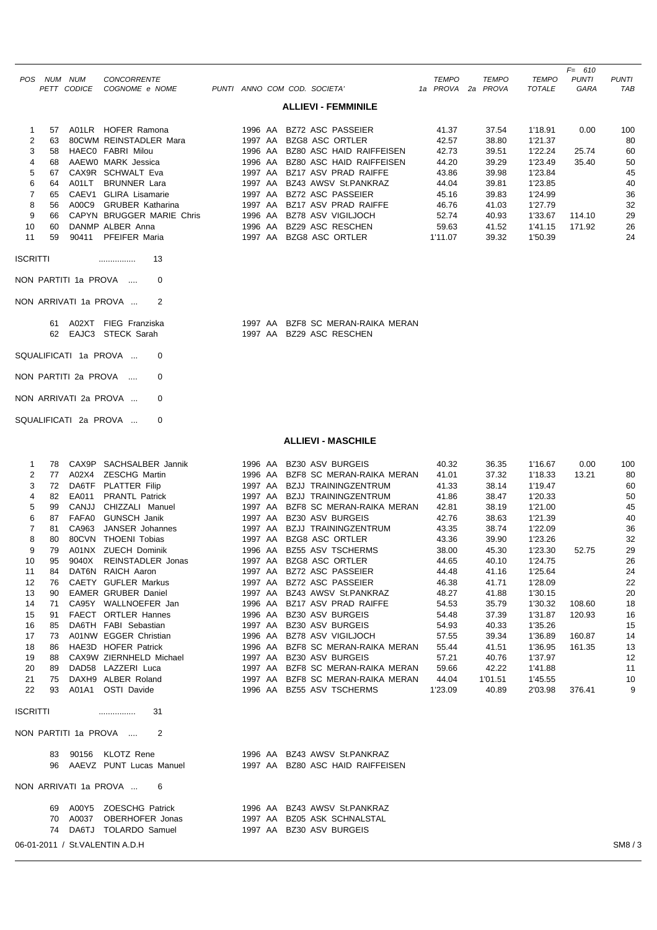|                 |                            |             |                                                 |  |         |  |                                                               |  |                   |  |              |               | $F = 610$    |              |
|-----------------|----------------------------|-------------|-------------------------------------------------|--|---------|--|---------------------------------------------------------------|--|-------------------|--|--------------|---------------|--------------|--------------|
|                 | POS NUM NUM                |             | <b>CONCORRENTE</b>                              |  |         |  |                                                               |  | <b>TEMPO</b>      |  | <b>TEMPO</b> | <b>TEMPO</b>  | <b>PUNTI</b> | <b>PUNTI</b> |
|                 |                            | PETT CODICE | COGNOME e NOME                                  |  |         |  | PUNTI ANNO COM COD. SOCIETA'                                  |  | 1a PROVA 2a PROVA |  |              | <b>TOTALE</b> | <b>GARA</b>  | <b>TAB</b>   |
|                 | <b>ALLIEVI - FEMMINILE</b> |             |                                                 |  |         |  |                                                               |  |                   |  |              |               |              |              |
| 1               | 57                         |             | A01LR HOFER Ramona                              |  |         |  | 1996 AA BZ72 ASC PASSEIER                                     |  | 41.37             |  | 37.54        | 1'18.91       | 0.00         | 100          |
| 2               | 63                         |             | 80CWM REINSTADLER Mara                          |  |         |  | 1997 AA BZG8 ASC ORTLER                                       |  | 42.57             |  | 38.80        | 1'21.37       |              | 80           |
| 3               | 58                         |             | HAECO FABRI Milou                               |  |         |  | 1996 AA BZ80 ASC HAID RAIFFEISEN                              |  | 42.73             |  | 39.51        | 1'22.24       | 25.74        | 60           |
| 4               | 68                         |             | AAEW0 MARK Jessica                              |  |         |  | 1996 AA BZ80 ASC HAID RAIFFEISEN                              |  | 44.20             |  | 39.29        | 1'23.49       | 35.40        | 50           |
| 5               | 67                         |             | CAX9R SCHWALT Eva                               |  |         |  | 1997 AA BZ17 ASV PRAD RAIFFE                                  |  | 43.86             |  | 39.98        | 1'23.84       |              | 45           |
| 6               | 64                         | A01LT       | <b>BRUNNER Lara</b>                             |  | 1997 AA |  | BZ43 AWSV St.PANKRAZ                                          |  | 44.04             |  | 39.81        | 1'23.85       |              | 40           |
| 7               | 65                         |             | CAEV1 GLIRA Lisamarie                           |  |         |  | 1997 AA BZ72 ASC PASSEIER                                     |  | 45.16             |  | 39.83        | 1'24.99       |              | 36           |
| 8               | 56                         |             | A00C9 GRUBER Katharina                          |  |         |  | 1997 AA BZ17 ASV PRAD RAIFFE                                  |  | 46.76             |  | 41.03        | 1'27.79       |              | 32           |
| 9               | 66                         |             | CAPYN BRUGGER MARIE Chris                       |  |         |  | 1996 AA BZ78 ASV VIGILJOCH                                    |  | 52.74             |  | 40.93        | 1'33.67       | 114.10       | 29           |
| 10              | 60                         |             | DANMP ALBER Anna                                |  |         |  | 1996 AA BZ29 ASC RESCHEN                                      |  | 59.63             |  | 41.52        | 1'41.15       | 171.92       | 26           |
| 11              | 59                         |             | 90411 PFEIFER Maria                             |  |         |  | 1997 AA BZG8 ASC ORTLER                                       |  | 1'11.07           |  | 39.32        | 1'50.39       |              | 24           |
| <b>ISCRITTI</b> |                            |             | 13<br>NON PARTITI 1a PROVA<br>$\Omega$          |  |         |  |                                                               |  |                   |  |              |               |              |              |
|                 |                            |             | NON ARRIVATI 1a PROVA<br>2                      |  |         |  |                                                               |  |                   |  |              |               |              |              |
|                 |                            |             | 61 A02XT FIEG Franziska<br>62 EAJC3 STECK Sarah |  |         |  | 1997 AA BZF8 SC MERAN-RAIKA MERAN<br>1997 AA BZ29 ASC RESCHEN |  |                   |  |              |               |              |              |
|                 |                            |             | SQUALIFICATI 1a PROVA<br>0                      |  |         |  |                                                               |  |                   |  |              |               |              |              |
|                 |                            |             | NON PARTITI 2a PROVA<br>0                       |  |         |  |                                                               |  |                   |  |              |               |              |              |
|                 |                            |             | NON ARRIVATI 2a PROVA<br>$\Omega$               |  |         |  |                                                               |  |                   |  |              |               |              |              |
|                 |                            |             | SQUALIFICATI 2a PROVA<br>$\Omega$               |  |         |  |                                                               |  |                   |  |              |               |              |              |

## **ALLIEVI - MASCHILE**

|                 | 78 | CAX9P        | SACHSALBER Jannik          | 1996 AA | BZ30 ASV BURGEIS            | 40.32   | 36.35   | 1'16.67 | 0.00   | 100 |
|-----------------|----|--------------|----------------------------|---------|-----------------------------|---------|---------|---------|--------|-----|
| 2               | 77 | A02X4        | <b>ZESCHG Martin</b>       | 1996 AA | BZF8 SC MERAN-RAIKA MERAN   | 41.01   | 37.32   | 1'18.33 | 13.21  | 80  |
| 3               | 72 | DA6TF        | <b>PLATTER Filip</b>       | 1997 AA | <b>BZJJ TRAININGZENTRUM</b> | 41.33   | 38.14   | 1'19.47 |        | 60  |
| 4               | 82 | EA011        | <b>PRANTL Patrick</b>      | 1997 AA | <b>BZJJ TRAININGZENTRUM</b> | 41.86   | 38.47   | 1'20.33 |        | 50  |
| 5               | 99 | CANJJ        | CHIZZALI Manuel            | 1997 AA | BZF8 SC MERAN-RAIKA MERAN   | 42.81   | 38.19   | 1'21.00 |        | 45  |
| 6               | 87 | FAFA0        | <b>GUNSCH Janik</b>        | 1997 AA | BZ30 ASV BURGEIS            | 42.76   | 38.63   | 1'21.39 |        | 40  |
| $\overline{7}$  | 81 | CA963        | JANSER Johannes            | 1997 AA | BZJJ TRAININGZENTRUM        | 43.35   | 38.74   | 1'22.09 |        | 36  |
| 8               | 80 | 80CVN        | <b>THOENI Tobias</b>       | 1997 AA | <b>BZG8 ASC ORTLER</b>      | 43.36   | 39.90   | 1'23.26 |        | 32  |
| 9               | 79 | A01NX        | <b>ZUECH Dominik</b>       | 1996 AA | <b>BZ55 ASV TSCHERMS</b>    | 38.00   | 45.30   | 1'23.30 | 52.75  | 29  |
| 10              | 95 | 9040X        | <b>REINSTADLER Jonas</b>   | 1997 AA | BZG8 ASC ORTLER             | 44.65   | 40.10   | 1'24.75 |        | 26  |
| 11              | 84 | DAT6N        | RAICH Aaron                | 1997 AA | <b>BZ72 ASC PASSEIER</b>    | 44.48   | 41.16   | 1'25.64 |        | 24  |
| 12              | 76 | <b>CAETY</b> | <b>GUFLER Markus</b>       | 1997 AA | BZ72 ASC PASSEIER           | 46.38   | 41.71   | 1'28.09 |        | 22  |
| 13              | 90 |              | <b>EAMER GRUBER Daniel</b> | 1997 AA | BZ43 AWSV St.PANKRAZ        | 48.27   | 41.88   | 1'30.15 |        | 20  |
| 14              | 71 | CA95Y        | WALLNOEFER Jan             | 1996 AA | BZ17 ASV PRAD RAIFFE        | 54.53   | 35.79   | 1'30.32 | 108.60 | 18  |
| 15              | 91 | <b>FAECT</b> | <b>ORTLER Hannes</b>       | 1996 AA | <b>BZ30 ASV BURGEIS</b>     | 54.48   | 37.39   | 1'31.87 | 120.93 | 16  |
| 16              | 85 | DA6TH        | <b>FABI</b> Sebastian      | 1997 AA | <b>BZ30 ASV BURGEIS</b>     | 54.93   | 40.33   | 1'35.26 |        | 15  |
| 17              | 73 | A01NW        | <b>EGGER Christian</b>     | 1996 AA | BZ78 ASV VIGILJOCH          | 57.55   | 39.34   | 1'36.89 | 160.87 | 14  |
| 18              | 86 | HAE3D        | <b>HOFER Patrick</b>       | 1996 AA | BZF8 SC MERAN-RAIKA MERAN   | 55.44   | 41.51   | 1'36.95 | 161.35 | 13  |
| 19              | 88 | CAX9W        | ZIERNHELD Michael          | 1997 AA | BZ30 ASV BURGEIS            | 57.21   | 40.76   | 1'37.97 |        | 12  |
| 20              | 89 | DAD58        | LAZZERI Luca               | 1997 AA | BZF8 SC MERAN-RAIKA MERAN   | 59.66   | 42.22   | 1'41.88 |        | 11  |
| 21              | 75 | DAXH9        | ALBER Roland               | 1997 AA | BZF8 SC MERAN-RAIKA MERAN   | 44.04   | 1'01.51 | 1'45.55 |        | 10  |
| 22              | 93 | A01A1        | OSTI Davide                | 1996 AA | BZ55 ASV TSCHERMS           | 1'23.09 | 40.89   | 2'03.98 | 376.41 | 9   |
|                 |    |              |                            |         |                             |         |         |         |        |     |
| <b>ISCRITTI</b> |    |              | 31<br>                     |         |                             |         |         |         |        |     |
|                 |    |              |                            |         |                             |         |         |         |        |     |

NON PARTITI 1a PROVA .... 2

|  | 83 90156 KLOTZ Rene        | 1996 AA BZ43 AWSV St.PANKRAZ     |
|--|----------------------------|----------------------------------|
|  | 96 AAEVZ PUNT Lucas Manuel | 1997 AA BZ80 ASC HAID RAIFFEISEN |

NON ARRIVATI 1a PROVA ... 6

|  | 69 A00Y5 ZOESCHG Patrick |  | 1996 AA BZ43 AWSV St.PANKRAZ |
|--|--------------------------|--|------------------------------|
|  | 70 A0037 OBERHOFER Jonas |  | 1997 AA BZ05 ASK SCHNALSTAL  |
|  | 74 DA6TJ TOLARDO Samuel  |  | 1997 AA BZ30 ASV BURGEIS     |

06-01-2011 / St.VALENTIN A.D.H SM8 / 3